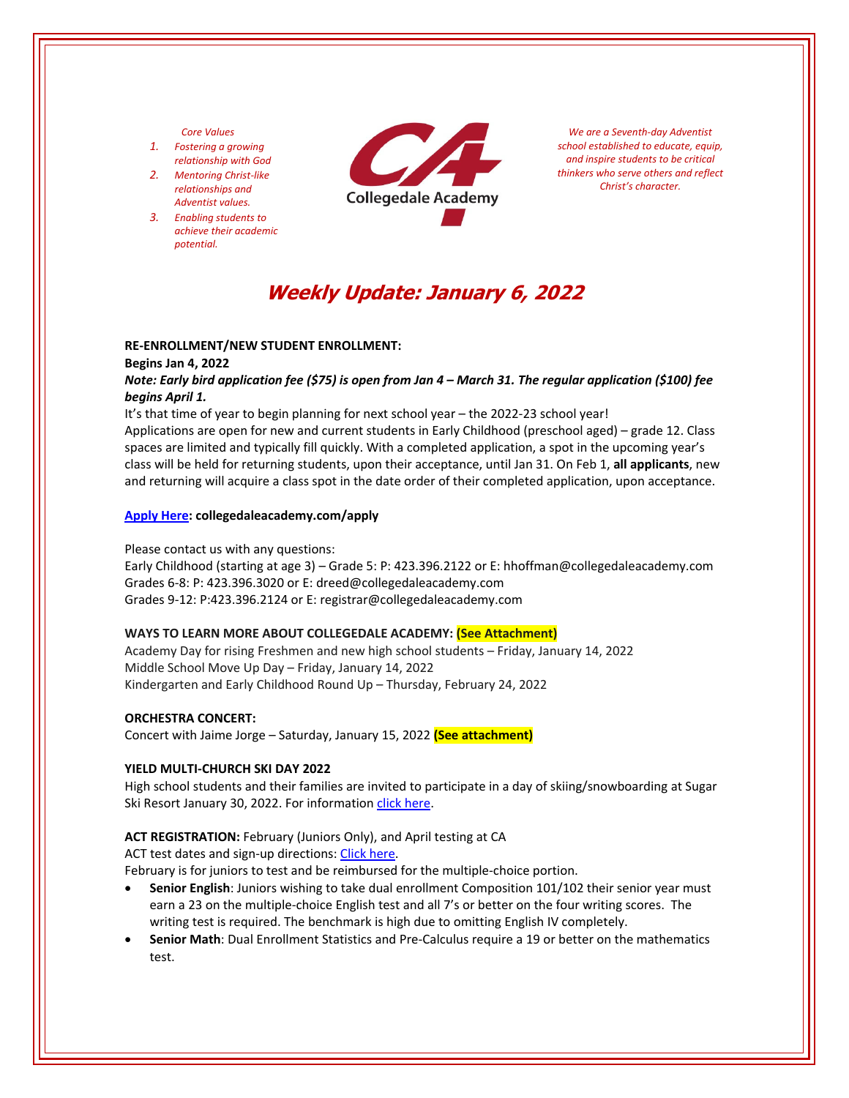#### *Core Values*

- *1. Fostering a growing relationship with God*
- *2. Mentoring Christ‐like relationships and Adventist values.*
- *3. Enabling students to achieve their academic potential.*



*We are a Seventh‐day Adventist school established to educate, equip, and inspire students to be critical thinkers who serve others and reflect Christ's character.*

# **Weekly Update: January 6, 2022**

#### **RE‐ENROLLMENT/NEW STUDENT ENROLLMENT:**

#### **Begins Jan 4, 2022**

# Note: Early bird application fee (\$75) is open from Jan 4 - March 31. The regular application (\$100) fee *begins April 1.*

It's that time of year to begin planning for next school year – the 2022‐23 school year!

Applications are open for new and current students in Early Childhood (preschool aged) – grade 12. Class spaces are limited and typically fill quickly. With a completed application, a spot in the upcoming year's class will be held for returning students, upon their acceptance, until Jan 31. On Feb 1, **all applicants**, new and returning will acquire a class spot in the date order of their completed application, upon acceptance.

#### **[Apply](https://www.collegedaleacademy.com/admissions/apply/) Here: collegedaleacademy.com/apply**

#### Please contact us with any questions:

Early Childhood (starting at age 3) – Grade 5: P: 423.396.2122 or E: hhoffman@collegedaleacademy.com Grades 6‐8: P: 423.396.3020 or E: dreed@collegedaleacademy.com Grades 9‐12: P:423.396.2124 or E: registrar@collegedaleacademy.com

## **WAYS TO LEARN MORE ABOUT COLLEGEDALE ACADEMY: (See Attachment)**

Academy Day for rising Freshmen and new high school students – Friday, January 14, 2022 Middle School Move Up Day – Friday, January 14, 2022 Kindergarten and Early Childhood Round Up – Thursday, February 24, 2022

## **ORCHESTRA CONCERT:**

Concert with Jaime Jorge – Saturday, January 15, 2022 **(See attachment)** 

## **YIELD MULTI‐CHURCH SKI DAY 2022**

High school students and their families are invited to participate in a day of skiing/snowboarding at Sugar Ski Resort January 30, 2022. For information click [here.](https://collegedale.ccbchurch.com/goto/forms/155/responses/new)

## **ACT REGISTRATION:** February (Juniors Only), and April testing at CA

ACT test dates and sign-up directions: Click [here.](https://www.act.org/)

February is for juniors to test and be reimbursed for the multiple‐choice portion.

- **Senior English**: Juniors wishing to take dual enrollment Composition 101/102 their senior year must earn a 23 on the multiple-choice English test and all 7's or better on the four writing scores. The writing test is required. The benchmark is high due to omitting English IV completely.
- **Senior Math**: Dual Enrollment Statistics and Pre‐Calculus require a 19 or better on the mathematics test.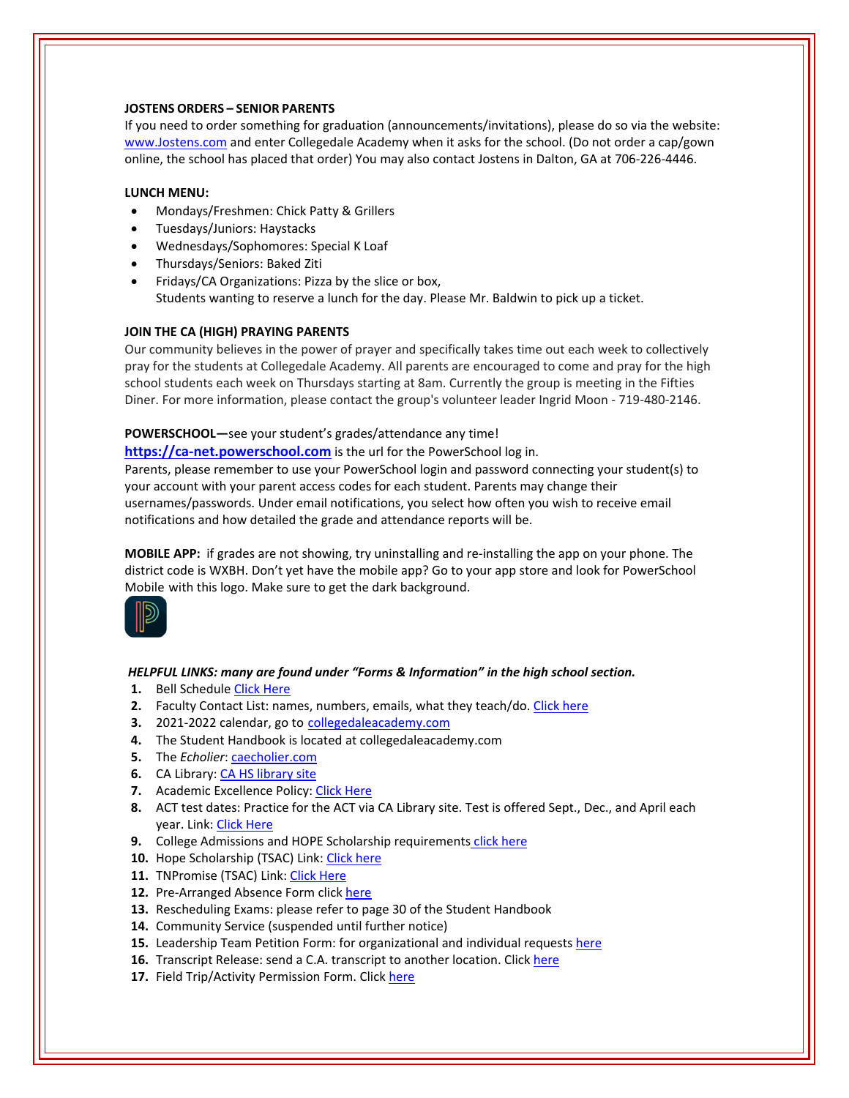## **JOSTENS ORDERS – SENIOR PARENTS**

If you need to order something for graduation (announcements/invitations), please do so via the website: [www.Jostens.com](https://www.jostens.com/) and enter Collegedale Academy when it asks for the school. (Do not order a cap/gown online, the school has placed that order) You may also contact Jostens in Dalton, GA at 706‐226‐4446.

# **LUNCH MENU:**

- Mondays/Freshmen: Chick Patty & Grillers
- Tuesdays/Juniors: Haystacks
- Wednesdays/Sophomores: Special K Loaf
- Thursdays/Seniors: Baked Ziti
- Fridays/CA Organizations: Pizza by the slice or box, Students wanting to reserve a lunch for the day. Please Mr. Baldwin to pick up a ticket.

# **JOIN THE CA (HIGH) PRAYING PARENTS**

Our community believes in the power of prayer and specifically takes time out each week to collectively pray for the students at Collegedale Academy. All parents are encouraged to come and pray for the high school students each week on Thursdays starting at 8am. Currently the group is meeting in the Fifties Diner. For more information, please contact the group's volunteer leader Ingrid Moon ‐ 719‐480‐2146.

# **POWERSCHOOL—**see your student's grades/attendance any time!

**https://ca-[net.powerschool.com](https://ca-net.powerschool.com/public/)** is the url for the PowerSchool log in.

Parents, please remember to use your PowerSchool login and password connecting your student(s) to your account with your parent access codes for each student. Parents may change their usernames/passwords. Under email notifications, you select how often you wish to receive email notifications and how detailed the grade and attendance reports will be.

**MOBILE APP:** if grades are not showing, try uninstalling and re‐installing the app on your phone. The district code is WXBH. Don't yet have the mobile app? Go to your app store and look for PowerSchool Mobile with this logo. Make sure to get the dark background.



## *HELPFUL LINKS: many are found under "Forms & Information" in the high school section.*

- **1.** Bell Schedule Click [Here](https://www.collegedaleacademy.com/wp-content/uploads/2018/08/Bell-Schedule.pdf)
- **2.** Faculty Contact List: names, numbers, emails, what they teach/do. [Click](https://www.collegedaleacademy.com/wp-content/uploads/2021/08/faculty-only-2021-2022.pdf) here
- **3.** 2021‐2022 calendar, go to [collegedaleacademy.com](https://www.collegedaleacademy.com/calendars/)
- **4.** The Student Handbook is located at collegedaleacademy.com
- **5.** The *Echolier*: [caecholier.com](https://caecholier.com/)
- **6.** CA Library: CA HS [library](https://southernuniongcc.mlasolutions.com/m5/catalog/(S(l0bmp3o4rh3wnln3veed0jgh))/default.aspx?installation=CDA) site
- **7.** Academic Excellence Policy: Click [Here](https://www.collegedaleacademy.com/wp-content/uploads/2018/08/Academic-Excellence-Policy.pdf)
- **8.** ACT test dates: Practice for the ACT via CA Library site. Test is offered Sept., Dec., and April each year. Link: Click [Here](https://www.act.org/)
- **9.** College Admissions and HOPE Scholarship requirements click [here](https://www.collegedaleacademy.com/wp-content/uploads/2019/08/TSAC-Scholarship-Info.pdf)
- 10. Hope Scholarship (TSAC) Link: Click [here](https://www.tn.gov/collegepays/money-for-college/tn-education-lottery-programs/tennessee-hope-scholarship.html)
- 11. TNPromise (TSAC) Link: Click [Here](https://www.tn.gov/tnpromise.html)
- 12. Pre-Arranged Absence Form click [here](https://www.collegedaleacademy.com/wp-content/uploads/2016/11/Class-Absence-Request-Form-May-2017.pdf)
- **13.** Rescheduling Exams: please refer to page 30 of the Student Handbook
- **14.** Community Service (suspended until further notice)
- **15.** Leadership Team Petition Form: for organizational and individual requests [here](https://www.collegedaleacademy.com/wp-content/uploads/2019/08/Leadership-Petition-SSch.pdf)
- 16. Transcript Release: send a C.A. transcript to another location. Click [here](https://collegedaleacademy.wufoo.com/forms/q1bmc4gg10gftjs/)
- 17. Field Trip/Activity Permission Form. Click [here](https://www.collegedaleacademy.com/wp-content/uploads/2018/08/Field-Trip-form.pdf)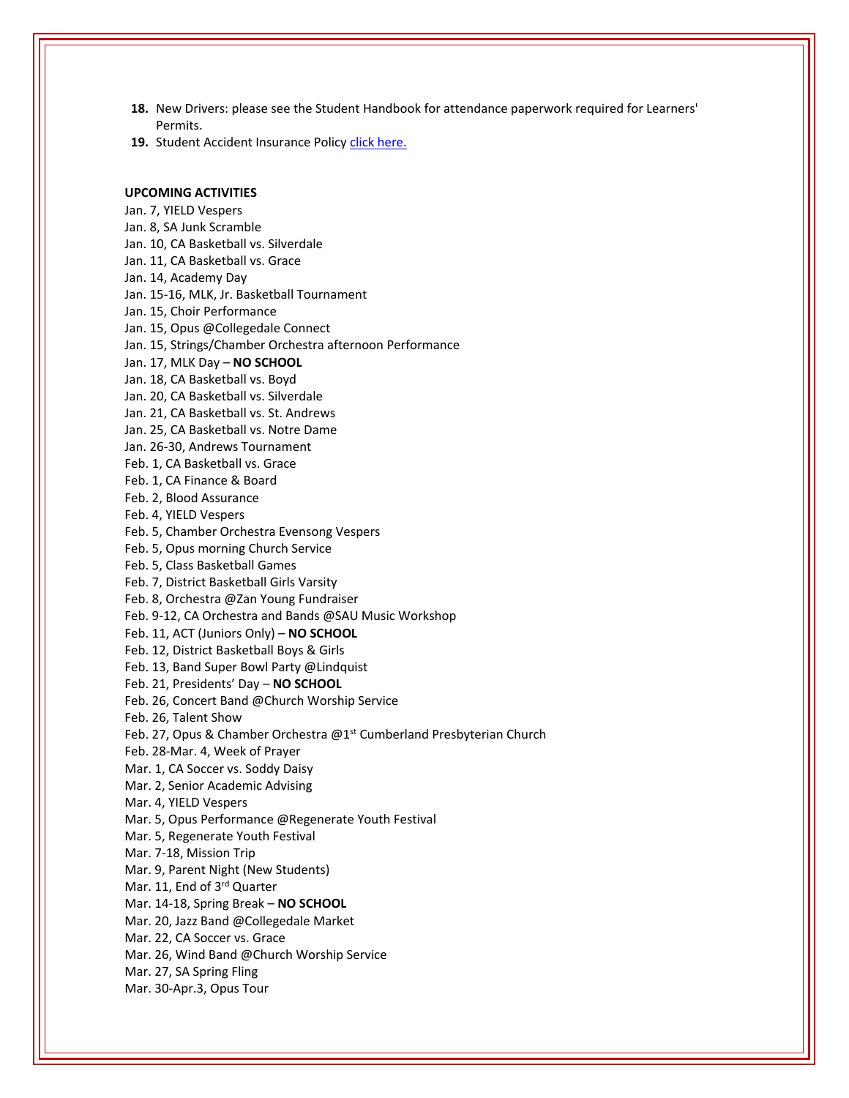- **18.** New Drivers: please see the Student Handbook for attendance paperwork required for Learners' Permits.
- 19. Student Accident Insurance Policy click [here.](https://adventistrisk.org/en-us/insurance/nad/k-12-student-accident)

#### **UPCOMING ACTIVITIES**

Jan. 7, YIELD Vespers Jan. 8, SA Junk Scramble Jan. 10, CA Basketball vs. Silverdale Jan. 11, CA Basketball vs. Grace Jan. 14, Academy Day Jan. 15‐16, MLK, Jr. Basketball Tournament Jan. 15, Choir Performance Jan. 15, Opus @Collegedale Connect Jan. 15, Strings/Chamber Orchestra afternoon Performance Jan. 17, MLK Day – **NO SCHOOL** Jan. 18, CA Basketball vs. Boyd Jan. 20, CA Basketball vs. Silverdale Jan. 21, CA Basketball vs. St. Andrews Jan. 25, CA Basketball vs. Notre Dame Jan. 26‐30, Andrews Tournament Feb. 1, CA Basketball vs. Grace Feb. 1, CA Finance & Board Feb. 2, Blood Assurance Feb. 4, YIELD Vespers Feb. 5, Chamber Orchestra Evensong Vespers Feb. 5, Opus morning Church Service Feb. 5, Class Basketball Games Feb. 7, District Basketball Girls Varsity Feb. 8, Orchestra @Zan Young Fundraiser Feb. 9‐12, CA Orchestra and Bands @SAU Music Workshop Feb. 11, ACT (Juniors Only) – **NO SCHOOL** Feb. 12, District Basketball Boys & Girls Feb. 13, Band Super Bowl Party @Lindquist Feb. 21, Presidents' Day – **NO SCHOOL** Feb. 26, Concert Band @Church Worship Service Feb. 26, Talent Show Feb. 27, Opus & Chamber Orchestra @1<sup>st</sup> Cumberland Presbyterian Church Feb. 28‐Mar. 4, Week of Prayer Mar. 1, CA Soccer vs. Soddy Daisy Mar. 2, Senior Academic Advising Mar. 4, YIELD Vespers Mar. 5, Opus Performance @Regenerate Youth Festival Mar. 5, Regenerate Youth Festival Mar. 7‐18, Mission Trip Mar. 9, Parent Night (New Students) Mar. 11, End of 3<sup>rd</sup> Quarter Mar. 14‐18, Spring Break – **NO SCHOOL** Mar. 20, Jazz Band @Collegedale Market Mar. 22, CA Soccer vs. Grace Mar. 26, Wind Band @Church Worship Service Mar. 27, SA Spring Fling Mar. 30‐Apr.3, Opus Tour